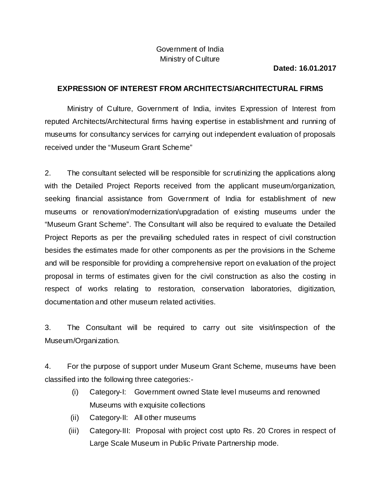## Government of India Ministry of Culture

## **Dated: 16.01.2017**

## **EXPRESSION OF INTEREST FROM ARCHITECTS/ARCHITECTURAL FIRMS**

Ministry of Culture, Government of India, invites Expression of Interest from reputed Architects/Architectural firms having expertise in establishment and running of museums for consultancy services for carrying out independent evaluation of proposals received under the "Museum Grant Scheme"

2. The consultant selected will be responsible for scrutinizing the applications along with the Detailed Project Reports received from the applicant museum/organization, seeking financial assistance from Government of India for establishment of new museums or renovation/modernization/upgradation of existing museums under the "Museum Grant Scheme". The Consultant will also be required to evaluate the Detailed Project Reports as per the prevailing scheduled rates in respect of civil construction besides the estimates made for other components as per the provisions in the Scheme and will be responsible for providing a comprehensive report on evaluation of the project proposal in terms of estimates given for the civil construction as also the costing in respect of works relating to restoration, conservation laboratories, digitization, documentation and other museum related activities.

3. The Consultant will be required to carry out site visit/inspection of the Museum/Organization.

4. For the purpose of support under Museum Grant Scheme, museums have been classified into the following three categories:-

- (i) Category-I: Government owned State level museums and renowned Museums with exquisite collections
- (ii) Category-II: All other museums
- (iii) Category-III: Proposal with project cost upto Rs. 20 Crores in respect of Large Scale Museum in Public Private Partnership mode.